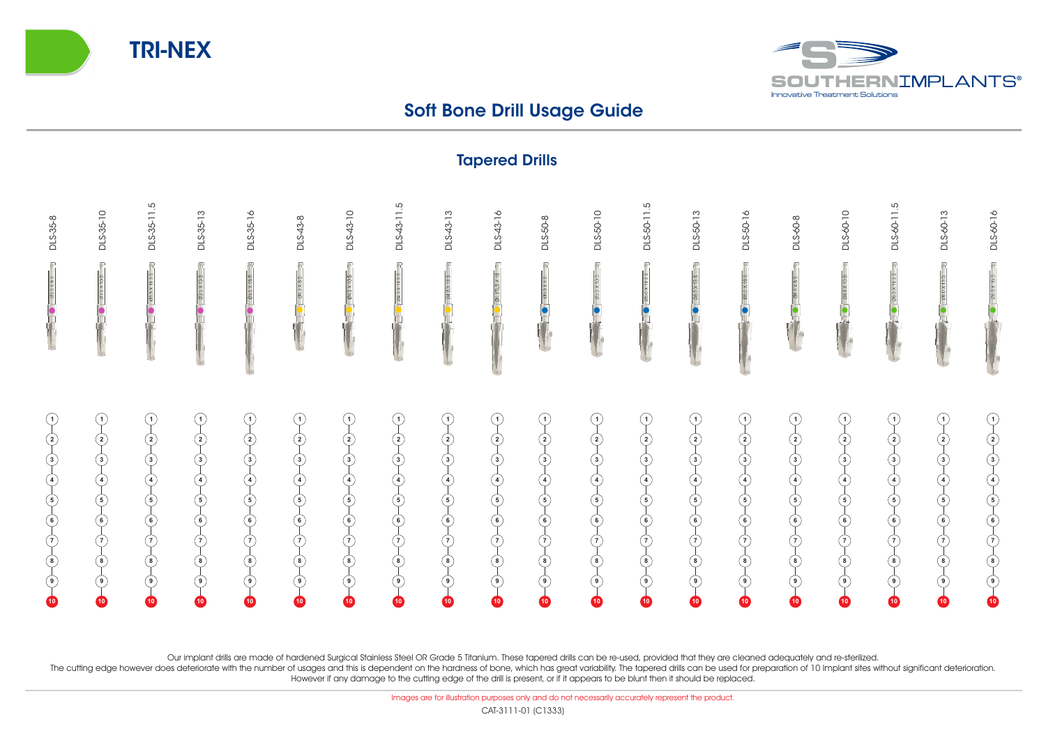



## Soft Bone Drill Usage Guide

Tapered Drills

|                                                                                                                                                                                                                                                                                                                                                                                                                                                                                                                                                                           | <b>IMPOTOM PITTS</b>                                                                                                                                                                                                              |                                                                                                                                                                                                         |                                                                                                                                                                                                                                                                                                                                                                             |                |                                                                                                                                           |                                                                                                                                           |                                                                                                                                                 |                                                                                                        |                                                                                |                                                                                                                                    |                                                                                                                                                             |                                                                                                                                                                                                            |                                                                                                                                                                                                  |                                                                                                                                                                        |           |                                                                                                                                                                                                                                                                                                                                                                                                                                                                               |                                                                                  |                                                                                                                                                                                                                                  |                   |
|---------------------------------------------------------------------------------------------------------------------------------------------------------------------------------------------------------------------------------------------------------------------------------------------------------------------------------------------------------------------------------------------------------------------------------------------------------------------------------------------------------------------------------------------------------------------------|-----------------------------------------------------------------------------------------------------------------------------------------------------------------------------------------------------------------------------------|---------------------------------------------------------------------------------------------------------------------------------------------------------------------------------------------------------|-----------------------------------------------------------------------------------------------------------------------------------------------------------------------------------------------------------------------------------------------------------------------------------------------------------------------------------------------------------------------------|----------------|-------------------------------------------------------------------------------------------------------------------------------------------|-------------------------------------------------------------------------------------------------------------------------------------------|-------------------------------------------------------------------------------------------------------------------------------------------------|--------------------------------------------------------------------------------------------------------|--------------------------------------------------------------------------------|------------------------------------------------------------------------------------------------------------------------------------|-------------------------------------------------------------------------------------------------------------------------------------------------------------|------------------------------------------------------------------------------------------------------------------------------------------------------------------------------------------------------------|--------------------------------------------------------------------------------------------------------------------------------------------------------------------------------------------------|------------------------------------------------------------------------------------------------------------------------------------------------------------------------|-----------|-------------------------------------------------------------------------------------------------------------------------------------------------------------------------------------------------------------------------------------------------------------------------------------------------------------------------------------------------------------------------------------------------------------------------------------------------------------------------------|----------------------------------------------------------------------------------|----------------------------------------------------------------------------------------------------------------------------------------------------------------------------------------------------------------------------------|-------------------|
| DLS-35-8                                                                                                                                                                                                                                                                                                                                                                                                                                                                                                                                                                  | DLS-35-10                                                                                                                                                                                                                         | DLS-35-11.5                                                                                                                                                                                             | DLS-35-13                                                                                                                                                                                                                                                                                                                                                                   | DLS-35-16      | DLS-43-8                                                                                                                                  | DLS-43-10                                                                                                                                 | DLS-43-11.5                                                                                                                                     | DLS-43-13                                                                                              | DLS-43-16                                                                      | DLS-50-8                                                                                                                           | DLS-50-10                                                                                                                                                   | DLS-50-11.5                                                                                                                                                                                                | DLS-50-13                                                                                                                                                                                        | DLS-50-16                                                                                                                                                              | DLS-60-8  | DLS-60-10                                                                                                                                                                                                                                                                                                                                                                                                                                                                     | DLS-60-11.5                                                                      | DLS-60-13                                                                                                                                                                                                                        | DLS-60-16         |
|                                                                                                                                                                                                                                                                                                                                                                                                                                                                                                                                                                           | $\overline{\mathbb{R}}$                                                                                                                                                                                                           | $=$ $\frac{1}{2}$ $\frac{1}{2}$ $\frac{1}{2}$ $\frac{1}{2}$ $\frac{1}{2}$                                                                                                                               | $33.5 \times 13.8$                                                                                                                                                                                                                                                                                                                                                          | $\overline{r}$ | $\frac{1}{28}$ ( ) $\frac{1}{28}$                                                                                                         | <b>@43X10S</b>                                                                                                                            | 24.3 X 11.5 S 3                                                                                                                                 | $\bullet$ 813X138 $\bullet$                                                                            | 24 X 3118 项                                                                    |                                                                                                                                    | $\bullet$ 0.0X00 $\bullet$                                                                                                                                  | $\bullet$ 880 x 11.58 3                                                                                                                                                                                    | 26.0 X 13 S<br>$\overline{\bullet}$                                                                                                                                                              | $\frac{1}{2}$ (a) $\frac{1}{2}$ (a) $\frac{1}{2}$                                                                                                                      |           | 06.0 X 10 S                                                                                                                                                                                                                                                                                                                                                                                                                                                                   | $= 3501 \times 1092$                                                             | $\bullet$ $\overline{0600 \times 135}$                                                                                                                                                                                           | $= 391\times1000$ |
| $\begin{array}{c} \begin{array}{c} \bullet \\ \hline \end{array} \\ \hline \end{array} \end{array} \begin{array}{c} \begin{array}{c} \bullet \\ \hline \end{array} \\ \hline \end{array} \end{array} \begin{array}{c} \begin{array}{c} \bullet \\ \hline \end{array} \\ \hline \end{array} \begin{array}{c} \begin{array}{c} \bullet \\ \hline \end{array} \\ \hline \end{array} \begin{array}{c} \begin{array}{c} \bullet \\ \hline \end{array} \\ \hline \end{array} \begin{array}{c} \begin{array}{c} \bullet \\ \hline \end{array} \\ \hline \end{array} \end{array}$ | $\overline{\mathrm{Q}}$<br>$\overline{\mathcal{L}}$<br>$\overline{\varphi}$<br>$\overline{\varphi}$<br>$\overline{\varphi}$<br>$\overline{\varphi}$<br>$\bigcirc$<br>$\overline{\varphi}$<br>$\overline{\mathbb{Q}}$<br>$\bullet$ | $\begin{pmatrix} 0 \\ 2 \end{pmatrix}$<br>$\left( \begin{array}{c} 3 \\ -1 \\ -1 \\ -1 \end{array} \right)$<br>$\varphi$<br>$\begin{array}{c}\n\bullet \\ \bullet \\ \bullet\n\end{array}$<br>$\bullet$ | $\begin{pmatrix} -1 & 0 & -1 \\ 0 & -1 & 0 \\ 0 & -1 & 0 \\ 0 & -1 & 0 \\ 0 & -1 & 0 \\ 0 & -1 & 0 \\ 0 & -1 & 0 \\ 0 & -1 & 0 \\ 0 & -1 & 0 \\ 0 & -1 & 0 \\ 0 & -1 & 0 \\ 0 & -1 & 0 \\ 0 & -1 & 0 \\ 0 & -1 & 0 \\ 0 & -1 & 0 \\ 0 & -1 & 0 \\ 0 & -1 & 0 \\ 0 & -1 & 0 \\ 0 & -1 & 0 \\ 0 & -1 & 0 \\ 0 & -1 & 0 \\ 0 & -1 & 0 \\ 0 & -1 & 0 \\ 0 & -1 & $<br>$\bullet$ | $\bullet$      | $\overline{P}$<br>$\begin{pmatrix} 2 \\ -3 \\ -6 \\ -6 \end{pmatrix}$<br>$\varphi$<br>$\bigcirc$<br>$\overline{\mathcal{P}}$<br>$\bullet$ | $\overline{P}$<br>$(2)$<br>$(3)$<br>$(4)$<br>$(5)$<br>$(6)$<br>$\varphi$<br>$\overline{\varphi}$<br>$\overline{\mathcal{P}}$<br>$\bullet$ | $\bigcirc$<br>$(2)$<br>$(3)$<br>$(4)$<br>$(5)$<br>$(6)$<br>$\overline{\varphi}$<br>$\overline{\varphi}$<br>$\overline{\mathbb{Q}}$<br>$\bullet$ | $(1) - (2) - (3) - (4) - (5) - (7) - (7)$<br>$\overline{\varphi}$<br>$\overline{\varphi}$<br>$\bullet$ | $(1) - (2) - (3) - (4) - (5) - (7) - (7)$<br>$\overrightarrow{e}$<br>$\bullet$ | $(1) - (2) - (3) - (4) - (5) - (6) - (6)$<br>$\overline{\varphi}$<br>$\overline{\varphi}$<br>$\overline{\mathcal{P}}$<br>$\bullet$ | $\overline{P}$<br>$\overline{\varphi}$<br>$\overrightarrow{a}$<br>$\oint$<br>$\varphi$<br>$\overline{\mathcal{L}}$<br>$\overline{\mathcal{P}}$<br>$\bullet$ | $\overline{P}$<br>$\overline{\mathrm{P}}$<br>$\overrightarrow{a}$<br>$\overline{\varphi}$<br>$\overline{\varphi}$<br>$\overline{\varphi}$<br>$\overline{\varphi}$<br>$\overline{\mathcal{P}}$<br>$\bullet$ | $\overline{P}$<br>$\overline{P}$<br>$\overrightarrow{a}$<br>$\overline{\varphi}$<br>$\overline{\varphi}$<br>$\overline{\varphi}$<br>$\overline{\varphi}$<br>$\overline{\mathbb{Q}}$<br>$\bullet$ | $\begin{pmatrix} -1 & 0 & -1 \\ 0 & -1 & 0 \\ 0 & 0 & 0 \\ 0 & 0 & 0 \end{pmatrix} = \begin{pmatrix} 0 & -1 & 0 \\ 0 & -1 & 0 \\ 0 & 0 & 0 \\ 0 & 0 & 0 \end{pmatrix}$ | $\bullet$ | $\overline{P}$<br>$\left( \begin{array}{c c} 0 & 0 & 0 \\ 0 & 0 & 0 \\ 0 & 0 & 0 \\ 0 & 0 & 0 \\ 0 & 0 & 0 \\ 0 & 0 & 0 \\ 0 & 0 & 0 \\ 0 & 0 & 0 \\ 0 & 0 & 0 \\ 0 & 0 & 0 \\ 0 & 0 & 0 & 0 \\ 0 & 0 & 0 & 0 \\ 0 & 0 & 0 & 0 \\ 0 & 0 & 0 & 0 & 0 \\ 0 & 0 & 0 & 0 & 0 \\ 0 & 0 & 0 & 0 & 0 \\ 0 & 0 & 0 & 0 & 0 & 0 \\ 0 & 0 & 0 & 0 & 0 & 0 \\ $<br>$\varphi$<br>$\overline{\raisebox{1.5pt}{\scriptsize$\circ$}}\hspace{-0.5pt}$<br>$\overline{\mathbb{Q}}$<br>$\bullet$ | $\varphi$<br>$\overline{\varphi}$<br>$\overline{\mathcal{L}}$<br>$\overline{10}$ | $\begin{pmatrix} 0 & 0 \\ 0 & 0 \end{pmatrix}$<br>$\begin{array}{c}\n\downarrow \\ \downarrow \\ \downarrow \\ \downarrow\n\end{array}$<br>$\overline{\varphi}$<br>$\overline{\varphi}$<br>$\overline{\mathcal{P}}$<br>$\bullet$ | $\bullet$         |

Our implant drills are made of hardened Surgical Stainless Steel OR Grade 5 Titanium. These tapered drills can be re-used, provided that they are cleaned adequately and re-sterilized.

The cutting edge however does deteriorate with the number of usages and this is dependent on the hardness of bone, which has great variability. The tapered drills can be used for preparation of 10 Implant sites without sig However if any damage to the cutting edge of the drill is present, or if it appears to be blunt then it should be replaced.